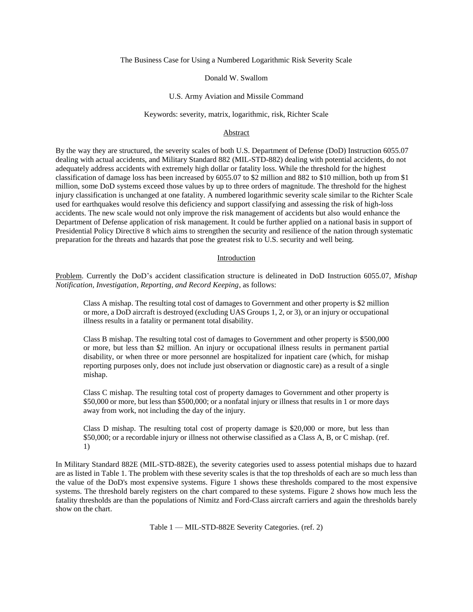The Business Case for Using a Numbered Logarithmic Risk Severity Scale

#### Donald W. Swallom

#### U.S. Army Aviation and Missile Command

# Keywords: severity, matrix, logarithmic, risk, Richter Scale

### Abstract

By the way they are structured, the severity scales of both U.S. Department of Defense (DoD) Instruction 6055.07 dealing with actual accidents, and Military Standard 882 (MIL-STD-882) dealing with potential accidents, do not adequately address accidents with extremely high dollar or fatality loss. While the threshold for the highest classification of damage loss has been increased by 6055.07 to \$2 million and 882 to \$10 million, both up from \$1 million, some DoD systems exceed those values by up to three orders of magnitude. The threshold for the highest injury classification is unchanged at one fatality. A numbered logarithmic severity scale similar to the Richter Scale used for earthquakes would resolve this deficiency and support classifying and assessing the risk of high-loss accidents. The new scale would not only improve the risk management of accidents but also would enhance the Department of Defense application of risk management. It could be further applied on a national basis in support of Presidential Policy Directive 8 which aims to strengthen the security and resilience of the nation through systematic preparation for the threats and hazards that pose the greatest risk to U.S. security and well being.

#### Introduction

Problem. Currently the DoD's accident classification structure is delineated in DoD Instruction 6055.07, *Mishap Notification, Investigation, Reporting, and Record Keeping*, as follows:

Class A mishap. The resulting total cost of damages to Government and other property is \$2 million or more, a DoD aircraft is destroyed (excluding UAS Groups 1, 2, or 3), or an injury or occupational illness results in a fatality or permanent total disability.

Class B mishap. The resulting total cost of damages to Government and other property is \$500,000 or more, but less than \$2 million. An injury or occupational illness results in permanent partial disability, or when three or more personnel are hospitalized for inpatient care (which, for mishap reporting purposes only, does not include just observation or diagnostic care) as a result of a single mishap.

Class C mishap. The resulting total cost of property damages to Government and other property is \$50,000 or more, but less than \$500,000; or a nonfatal injury or illness that results in 1 or more days away from work, not including the day of the injury.

Class D mishap. The resulting total cost of property damage is \$20,000 or more, but less than \$50,000; or a recordable injury or illness not otherwise classified as a Class A, B, or C mishap. (ref. 1)

In Military Standard 882E (MIL-STD-882E), the severity categories used to assess potential mishaps due to hazard are as listed in Table 1. The problem with these severity scales is that the top thresholds of each are so much less than the value of the DoD's most expensive systems. Figure 1 shows these thresholds compared to the most expensive systems. The threshold barely registers on the chart compared to these systems. Figure 2 shows how much less the fatality thresholds are than the populations of Nimitz and Ford-Class aircraft carriers and again the thresholds barely show on the chart.

Table 1 — MIL-STD-882E Severity Categories. (ref. 2)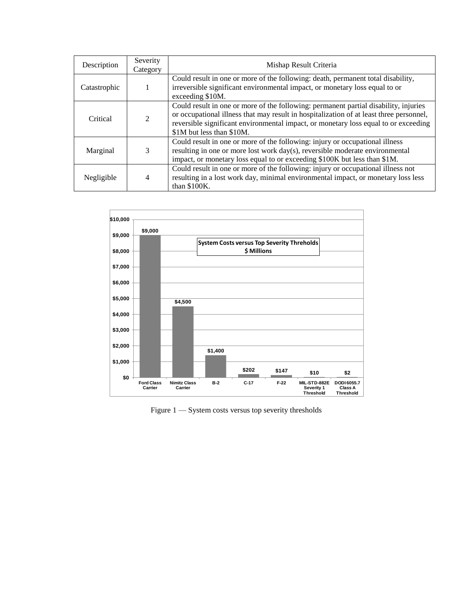| Description  | Severity<br>Category        | Mishap Result Criteria                                                                                                                                                                                                                                                                              |
|--------------|-----------------------------|-----------------------------------------------------------------------------------------------------------------------------------------------------------------------------------------------------------------------------------------------------------------------------------------------------|
| Catastrophic |                             | Could result in one or more of the following: death, permanent total disability,<br>irreversible significant environmental impact, or monetary loss equal to or<br>exceeding \$10M.                                                                                                                 |
| Critical     | $\mathcal{D}_{\mathcal{A}}$ | Could result in one or more of the following: permanent partial disability, injuries<br>or occupational illness that may result in hospitalization of at least three personnel,<br>reversible significant environmental impact, or monetary loss equal to or exceeding<br>\$1M but less than \$10M. |
| Marginal     | 3                           | Could result in one or more of the following: injury or occupational illness<br>resulting in one or more lost work day(s), reversible moderate environmental<br>impact, or monetary loss equal to or exceeding \$100K but less than \$1M.                                                           |
| Negligible   | 4                           | Could result in one or more of the following: injury or occupational illness not<br>resulting in a lost work day, minimal environmental impact, or monetary loss less<br>than \$100K.                                                                                                               |



Figure 1 — System costs versus top severity thresholds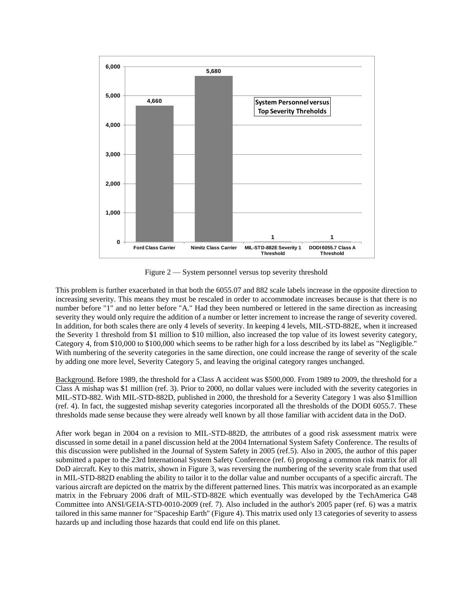

Figure 2 — System personnel versus top severity threshold

This problem is further exacerbated in that both the 6055.07 and 882 scale labels increase in the opposite direction to increasing severity. This means they must be rescaled in order to accommodate increases because is that there is no number before "1" and no letter before "A." Had they been numbered or lettered in the same direction as increasing severity they would only require the addition of a number or letter increment to increase the range of severity covered. In addition, for both scales there are only 4 levels of severity. In keeping 4 levels, MIL-STD-882E, when it increased the Severity 1 threshold from \$1 million to \$10 million, also increased the top value of its lowest severity category, Category 4, from \$10,000 to \$100,000 which seems to be rather high for a loss described by its label as "Negligible." With numbering of the severity categories in the same direction, one could increase the range of severity of the scale by adding one more level, Severity Category 5, and leaving the original category ranges unchanged.

Background. Before 1989, the threshold for a Class A accident was \$500,000. From 1989 to 2009, the threshold for a Class A mishap was \$1 million (ref. 3). Prior to 2000, no dollar values were included with the severity categories in MIL-STD-882. With MIL-STD-882D, published in 2000, the threshold for a Severity Category 1 was also \$1million (ref. 4). In fact, the suggested mishap severity categories incorporated all the thresholds of the DODI 6055.7. These thresholds made sense because they were already well known by all those familiar with accident data in the DoD.

After work began in 2004 on a revision to MIL-STD-882D, the attributes of a good risk assessment matrix were discussed in some detail in a panel discussion held at the 2004 International System Safety Conference. The results of this discussion were published in the Journal of System Safety in 2005 (ref.5). Also in 2005, the author of this paper submitted a paper to the 23rd International System Safety Conference (ref. 6) proposing a common risk matrix for all DoD aircraft. Key to this matrix, shown in Figure 3, was reversing the numbering of the severity scale from that used in MIL-STD-882D enabling the ability to tailor it to the dollar value and number occupants of a specific aircraft. The various aircraft are depicted on the matrix by the different patterned lines. This matrix was incorporated as an example matrix in the February 2006 draft of MIL-STD-882E which eventually was developed by the TechAmerica G48 Committee into ANSI/GEIA-STD-0010-2009 (ref. 7). Also included in the author's 2005 paper (ref. 6) was a matrix tailored in this same manner for "Spaceship Earth" (Figure 4). This matrix used only 13 categories of severity to assess hazards up and including those hazards that could end life on this planet.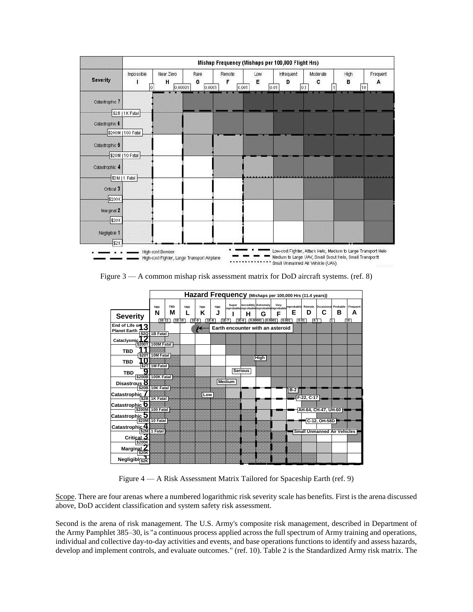|                 |                    | Mishap Frequency (Mishaps per 100,000 Flight Hrs) |                     |                      |          |                                 |               |           |                     |  |  |
|-----------------|--------------------|---------------------------------------------------|---------------------|----------------------|----------|---------------------------------|---------------|-----------|---------------------|--|--|
| <b>Severity</b> | Impossible<br>l0   | Near Zero<br>н<br>0.00001                         | Rare<br>G<br>0.0001 | Remote<br>F<br>0.001 | Low<br>E | Infrequent<br>D<br>0.01<br> 0.1 | Moderate<br>c | High<br>в | Frequent<br>А<br>10 |  |  |
| Catastrophic 7  |                    |                                                   |                     |                      |          |                                 |               |           |                     |  |  |
|                 | \$2B   1K Fatal    |                                                   |                     |                      |          |                                 |               |           |                     |  |  |
| Catastrophic 6  |                    |                                                   |                     |                      |          |                                 |               |           |                     |  |  |
|                 | \$200M   100 Fatal |                                                   |                     |                      |          |                                 |               |           |                     |  |  |
| Catastrophic 5  |                    |                                                   |                     |                      |          |                                 |               |           |                     |  |  |
|                 | \$20M   10 Fatal   |                                                   |                     |                      |          |                                 |               |           |                     |  |  |
| Catastrophic 4  |                    |                                                   |                     |                      |          |                                 |               |           |                     |  |  |
|                 | \$2M   1 Fatal     |                                                   |                     |                      |          |                                 |               |           |                     |  |  |
| Critical 3      |                    |                                                   |                     |                      |          |                                 |               |           |                     |  |  |
|                 |                    |                                                   |                     |                      |          |                                 |               |           |                     |  |  |
| \$200K          |                    |                                                   |                     |                      |          |                                 |               |           |                     |  |  |
| Marginal 2      |                    |                                                   |                     |                      |          |                                 |               |           |                     |  |  |
| \$20K           |                    |                                                   |                     |                      |          |                                 |               |           |                     |  |  |
| Negligible 1    |                    |                                                   |                     |                      |          |                                 |               |           |                     |  |  |
| \$2K            |                    |                                                   |                     |                      |          |                                 |               |           |                     |  |  |

Figure 3 — A common mishap risk assessment matrix for DoD aircraft systems. (ref. 8)

|                                                  |                          | Hazard Frequency (Mishaps per 100,000 Hrs (11.4 years)) |                      |                    |                         |               |                |                                                                 |                                                                                          |           |            |                             |                   |                     |
|--------------------------------------------------|--------------------------|---------------------------------------------------------|----------------------|--------------------|-------------------------|---------------|----------------|-----------------------------------------------------------------|------------------------------------------------------------------------------------------|-----------|------------|-----------------------------|-------------------|---------------------|
| <b>Severity</b>                                  | <b>TBD</b><br>N<br>1E-11 | <b>TBD</b><br>М<br>$TE-10$                              | <b>TBD</b><br>$1E-9$ | TBD<br>Κ<br>$1E-8$ | <b>TBD</b><br>J<br>1E-7 | Super         | н<br>$1E-6$    | Incredibly Extremely<br>G<br>$\boxed{0.00001}$ $\boxed{0.0001}$ | Very<br>mprobable mprobable mprobable mprobable Remote Dccasional Probable<br>F<br>0.001 | Е<br>0.01 | D<br>0.1   | С                           | в<br>$\mathbf{1}$ | Frequent<br>А<br>10 |
| End of Life on 2<br>Planet Earth [\$20 1B Fatal] |                          |                                                         |                      | K                  |                         |               |                |                                                                 | Earth encounter with an asteroid                                                         |           |            |                             |                   |                     |
| Cataclysmic <sup>1</sup>                         | \$200T 100M Fatal        |                                                         |                      |                    |                         |               |                |                                                                 |                                                                                          |           |            |                             |                   |                     |
| <b>TBD</b>                                       | \$20T 10M Fatal          |                                                         |                      |                    |                         |               |                |                                                                 |                                                                                          |           |            |                             |                   |                     |
| <b>TBD</b>                                       | \$2T 1M Fatal            |                                                         |                      |                    |                         |               |                | High                                                            |                                                                                          |           |            |                             |                   |                     |
| <b>TBD</b>                                       | \$200B 100K Fatal        |                                                         |                      |                    |                         |               | <b>Serious</b> |                                                                 |                                                                                          |           |            |                             |                   |                     |
| Disastrous <b>O</b>                              | \$20B 10K Fatal          |                                                         |                      |                    |                         | <b>Medium</b> |                |                                                                 |                                                                                          |           |            |                             |                   |                     |
| Catastrophic                                     | \$2B 1K Fatal            |                                                         |                      | Low                |                         |               |                |                                                                 |                                                                                          | $B-2$     | F-22, C-17 |                             |                   |                     |
|                                                  |                          |                                                         |                      |                    |                         |               |                |                                                                 |                                                                                          |           |            | AH-64, CH-47, UH-60         |                   |                     |
| Catastrophic J                                   | \$20M 10 Fatal           |                                                         |                      |                    |                         |               |                |                                                                 |                                                                                          |           |            | C-12, OH-58D                |                   |                     |
| Catastrophic 4                                   | \$2M 1 Fatal             |                                                         |                      |                    |                         |               |                |                                                                 |                                                                                          |           |            | Small Unmanned Air Vehicles |                   |                     |
| ک Critical<br>\$200K                             |                          |                                                         |                      |                    |                         |               |                |                                                                 |                                                                                          |           |            |                             |                   |                     |
| Marginal<br>\$20K                                |                          |                                                         |                      |                    |                         |               |                |                                                                 |                                                                                          |           |            |                             |                   |                     |
| Negligibl <sub>S2K</sub>                         |                          |                                                         |                      |                    |                         |               | mmmxmm         |                                                                 |                                                                                          |           |            |                             |                   |                     |

Figure 4 — A Risk Assessment Matrix Tailored for Spaceship Earth (ref. 9)

Scope. There are four arenas where a numbered logarithmic risk severity scale has benefits. First is the arena discussed above, DoD accident classification and system safety risk assessment.

Second is the arena of risk management. The U.S. Army's composite risk management, described in Department of the Army Pamphlet 385–30, is "a continuous process applied across the full spectrum of Army training and operations, individual and collective day-to-day activities and events, and base operations functions to identify and assess hazards, develop and implement controls, and evaluate outcomes." (ref. 10). Table 2 is the Standardized Army risk matrix. The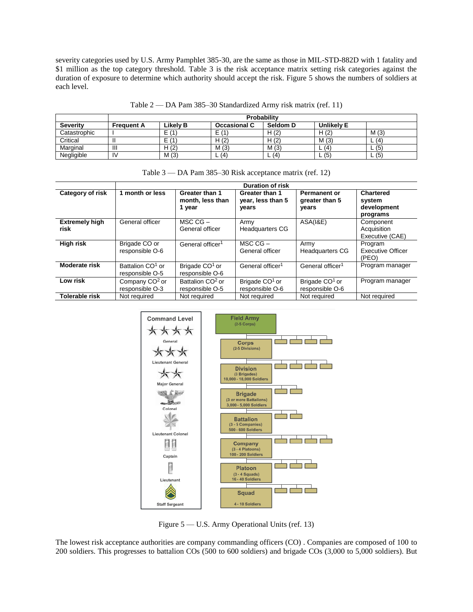severity categories used by U.S. Army Pamphlet 385-30, are the same as those in MIL-STD-882D with 1 fatality and \$1 million as the top category threshold. Table 3 is the risk acceptance matrix setting risk categories against the duration of exposure to determine which authority should accept the risk. Figure 5 shows the numbers of soldiers at each level.

|  | Table 2 — DA Pam 385–30 Standardized Army risk matrix (ref. 11) |  |  |  |
|--|-----------------------------------------------------------------|--|--|--|
|  |                                                                 |  |  |  |

|                 |                   | Probability          |                     |          |                   |                     |
|-----------------|-------------------|----------------------|---------------------|----------|-------------------|---------------------|
| <b>Severity</b> | <b>Frequent A</b> | Likely B             | <b>Occasional C</b> | Seldom D | <b>Unlikely E</b> |                     |
| Catastrophic    |                   | $\sqrt{1}$<br>►      | Е<br>(1)            | H(2)     | H(2)              | M(3)                |
| Critical        |                   | $\sqrt{4}$<br>-<br>- | H(2)                | H(2)     | M(3)              | (4)<br>–            |
| Marginal        | Ш                 | H(2)                 | M(3)                | M(3)     | (4)               | L(5)                |
| Negligible      | IV                | M(3)                 | (4)<br>-            | L(4)     | (5)               | $\lfloor 6 \rfloor$ |

|  |  | Table 3 — DA Pam 385–30 Risk acceptance matrix (ref. 12) |  |  |
|--|--|----------------------------------------------------------|--|--|
|  |  |                                                          |  |  |

|                               |                                                 | <b>Duration of risk</b>                         |                                               |                                                |                                                       |  |  |
|-------------------------------|-------------------------------------------------|-------------------------------------------------|-----------------------------------------------|------------------------------------------------|-------------------------------------------------------|--|--|
| Category of risk              | 1 month or less                                 | Greater than 1<br>month, less than<br>1 year    | Greater than 1<br>year, less than 5<br>years  | <b>Permanent or</b><br>greater than 5<br>vears | <b>Chartered</b><br>system<br>development<br>programs |  |  |
| <b>Extremely high</b><br>risk | General officer                                 | $MSCCG -$<br>General officer                    | Army<br>Headquarters CG                       | <b>ASA(I&amp;E)</b>                            | Component<br>Acquisition<br>Executive (CAE)           |  |  |
| <b>High risk</b>              | Brigade CO or<br>responsible O-6                | General officer <sup>1</sup>                    | $MSCCG -$<br>General officer                  | Army<br><b>Headquarters CG</b>                 | Program<br><b>Executive Officer</b><br>(PEO)          |  |  |
| <b>Moderate risk</b>          | Battalion CO <sup>1</sup> or<br>responsible O-5 | Brigade CO <sup>1</sup> or<br>responsible O-6   | General officer <sup>1</sup>                  | General officer <sup>1</sup>                   | Program manager                                       |  |  |
| Low risk                      | Company CO <sup>2</sup> or<br>responsible O-3   | Battalion CO <sup>2</sup> or<br>responsible O-5 | Brigade CO <sup>1</sup> or<br>responsible O-6 | Brigade CO <sup>1</sup> or<br>responsible O-6  | Program manager                                       |  |  |
| <b>Tolerable risk</b>         | Not required                                    | Not required                                    | Not required                                  | Not required                                   | Not required                                          |  |  |



Figure 5 — U.S. Army Operational Units (ref. 13)

The lowest risk acceptance authorities are company commanding officers (CO) . Companies are composed of 100 to 200 soldiers. This progresses to battalion COs (500 to 600 soldiers) and brigade COs (3,000 to 5,000 soldiers). But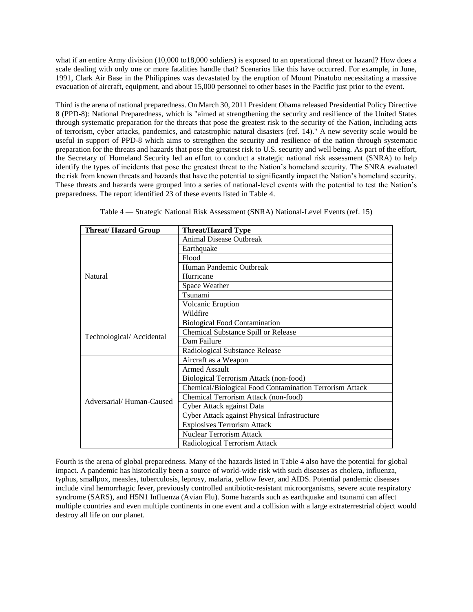what if an entire Army division (10,000 to18,000 soldiers) is exposed to an operational threat or hazard? How does a scale dealing with only one or more fatalities handle that? Scenarios like this have occurred. For example, in June, 1991, Clark Air Base in the Philippines was devastated by the eruption of Mount Pinatubo necessitating a massive evacuation of aircraft, equipment, and about 15,000 personnel to other bases in the Pacific just prior to the event.

Third is the arena of national preparedness. On March 30, 2011 President Obama released Presidential Policy Directive 8 (PPD-8): National Preparedness, which is "aimed at strengthening the security and resilience of the United States through systematic preparation for the threats that pose the greatest risk to the security of the Nation, including acts of terrorism, cyber attacks, pandemics, and catastrophic natural disasters (ref. 14)." A new severity scale would be useful in support of PPD-8 which aims to strengthen the security and resilience of the nation through systematic preparation for the threats and hazards that pose the greatest risk to U.S. security and well being. As part of the effort, the Secretary of Homeland Security led an effort to conduct a strategic national risk assessment (SNRA) to help identify the types of incidents that pose the greatest threat to the Nation's homeland security. The SNRA evaluated the risk from known threats and hazards that have the potential to significantly impact the Nation's homeland security. These threats and hazards were grouped into a series of national-level events with the potential to test the Nation's preparedness. The report identified 23 of these events listed in Table 4.

| <b>Threat/Hazard Group</b> | <b>Threat/Hazard Type</b>                               |  |  |  |  |  |
|----------------------------|---------------------------------------------------------|--|--|--|--|--|
|                            | <b>Animal Disease Outbreak</b>                          |  |  |  |  |  |
|                            | Earthquake                                              |  |  |  |  |  |
|                            | Flood                                                   |  |  |  |  |  |
|                            | Human Pandemic Outbreak                                 |  |  |  |  |  |
| Natural                    | Hurricane                                               |  |  |  |  |  |
|                            | Space Weather                                           |  |  |  |  |  |
|                            | Tsunami                                                 |  |  |  |  |  |
|                            | Volcanic Eruption                                       |  |  |  |  |  |
|                            | Wildfire                                                |  |  |  |  |  |
|                            | <b>Biological Food Contamination</b>                    |  |  |  |  |  |
|                            | Chemical Substance Spill or Release                     |  |  |  |  |  |
| Technological/Accidental   | Dam Failure                                             |  |  |  |  |  |
|                            | Radiological Substance Release                          |  |  |  |  |  |
|                            | Aircraft as a Weapon                                    |  |  |  |  |  |
|                            | <b>Armed Assault</b>                                    |  |  |  |  |  |
|                            | Biological Terrorism Attack (non-food)                  |  |  |  |  |  |
|                            | Chemical/Biological Food Contamination Terrorism Attack |  |  |  |  |  |
| Adversarial/Human-Caused   | Chemical Terrorism Attack (non-food)                    |  |  |  |  |  |
|                            | Cyber Attack against Data                               |  |  |  |  |  |
|                            | Cyber Attack against Physical Infrastructure            |  |  |  |  |  |
|                            | <b>Explosives Terrorism Attack</b>                      |  |  |  |  |  |
|                            | <b>Nuclear Terrorism Attack</b>                         |  |  |  |  |  |
|                            | Radiological Terrorism Attack                           |  |  |  |  |  |

Table 4 — Strategic National Risk Assessment (SNRA) National-Level Events (ref. 15)

Fourth is the arena of global preparedness. Many of the hazards listed in Table 4 also have the potential for global impact. A pandemic has historically been a source of world-wide risk with such diseases as cholera, influenza, typhus, smallpox, measles, tuberculosis, leprosy, malaria, yellow fever, and AIDS. Potential pandemic diseases include viral hemorrhagic fever, previously controlled antibiotic-resistant microorganisms, severe acute respiratory syndrome (SARS), and H5N1 Influenza (Avian Flu). Some hazards such as earthquake and tsunami can affect multiple countries and even multiple continents in one event and a collision with a large extraterrestrial object would destroy all life on our planet.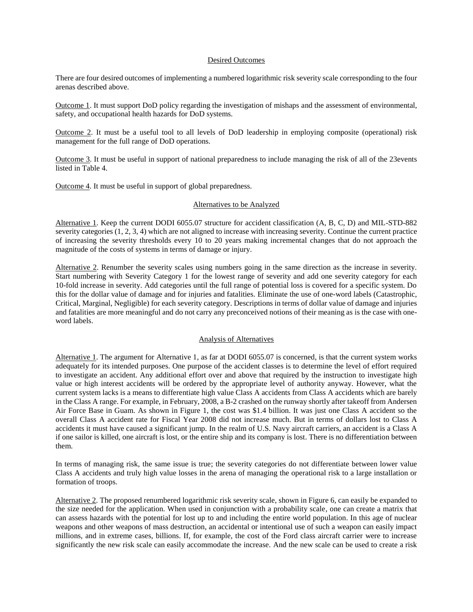### Desired Outcomes

There are four desired outcomes of implementing a numbered logarithmic risk severity scale corresponding to the four arenas described above.

Outcome 1. It must support DoD policy regarding the investigation of mishaps and the assessment of environmental, safety, and occupational health hazards for DoD systems.

Outcome 2. It must be a useful tool to all levels of DoD leadership in employing composite (operational) risk management for the full range of DoD operations.

Outcome 3. It must be useful in support of national preparedness to include managing the risk of all of the 23events listed in Table 4.

Outcome 4. It must be useful in support of global preparedness.

### Alternatives to be Analyzed

Alternative 1. Keep the current DODI 6055.07 structure for accident classification (A, B, C, D) and MIL-STD-882 severity categories (1, 2, 3, 4) which are not aligned to increase with increasing severity. Continue the current practice of increasing the severity thresholds every 10 to 20 years making incremental changes that do not approach the magnitude of the costs of systems in terms of damage or injury.

Alternative 2. Renumber the severity scales using numbers going in the same direction as the increase in severity. Start numbering with Severity Category 1 for the lowest range of severity and add one severity category for each 10-fold increase in severity. Add categories until the full range of potential loss is covered for a specific system. Do this for the dollar value of damage and for injuries and fatalities. Eliminate the use of one-word labels (Catastrophic, Critical, Marginal, Negligible) for each severity category. Descriptions in terms of dollar value of damage and injuries and fatalities are more meaningful and do not carry any preconceived notions of their meaning as is the case with oneword labels.

## Analysis of Alternatives

Alternative 1. The argument for Alternative 1, as far at DODI 6055.07 is concerned, is that the current system works adequately for its intended purposes. One purpose of the accident classes is to determine the level of effort required to investigate an accident. Any additional effort over and above that required by the instruction to investigate high value or high interest accidents will be ordered by the appropriate level of authority anyway. However, what the current system lacks is a means to differentiate high value Class A accidents from Class A accidents which are barely in the Class A range. For example, in February, 2008, a B-2 crashed on the runway shortly after takeoff from Andersen Air Force Base in Guam. As shown in Figure 1, the cost was \$1.4 billion. It was just one Class A accident so the overall Class A accident rate for Fiscal Year 2008 did not increase much. But in terms of dollars lost to Class A accidents it must have caused a significant jump. In the realm of U.S. Navy aircraft carriers, an accident is a Class A if one sailor is killed, one aircraft is lost, or the entire ship and its company is lost. There is no differentiation between them.

In terms of managing risk, the same issue is true; the severity categories do not differentiate between lower value Class A accidents and truly high value losses in the arena of managing the operational risk to a large installation or formation of troops.

Alternative 2. The proposed renumbered logarithmic risk severity scale, shown in Figure 6, can easily be expanded to the size needed for the application. When used in conjunction with a probability scale, one can create a matrix that can assess hazards with the potential for lost up to and including the entire world population. In this age of nuclear weapons and other weapons of mass destruction, an accidental or intentional use of such a weapon can easily impact millions, and in extreme cases, billions. If, for example, the cost of the Ford class aircraft carrier were to increase significantly the new risk scale can easily accommodate the increase. And the new scale can be used to create a risk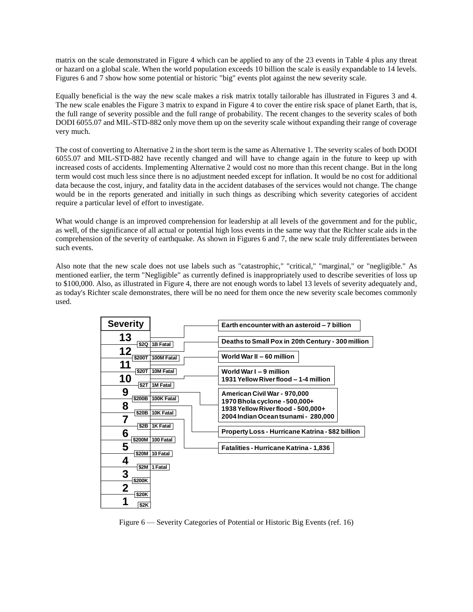matrix on the scale demonstrated in Figure 4 which can be applied to any of the 23 events in Table 4 plus any threat or hazard on a global scale. When the world population exceeds 10 billion the scale is easily expandable to 14 levels. Figures 6 and 7 show how some potential or historic "big" events plot against the new severity scale.

Equally beneficial is the way the new scale makes a risk matrix totally tailorable has illustrated in Figures 3 and 4. The new scale enables the Figure 3 matrix to expand in Figure 4 to cover the entire risk space of planet Earth, that is, the full range of severity possible and the full range of probability. The recent changes to the severity scales of both DODI 6055.07 and MIL-STD-882 only move them up on the severity scale without expanding their range of coverage very much.

The cost of converting to Alternative 2 in the short term is the same as Alternative 1. The severity scales of both DODI 6055.07 and MIL-STD-882 have recently changed and will have to change again in the future to keep up with increased costs of accidents. Implementing Alternative 2 would cost no more than this recent change. But in the long term would cost much less since there is no adjustment needed except for inflation. It would be no cost for additional data because the cost, injury, and fatality data in the accident databases of the services would not change. The change would be in the reports generated and initially in such things as describing which severity categories of accident require a particular level of effort to investigate.

What would change is an improved comprehension for leadership at all levels of the government and for the public, as well, of the significance of all actual or potential high loss events in the same way that the Richter scale aids in the comprehension of the severity of earthquake. As shown in Figures 6 and 7, the new scale truly differentiates between such events.

Also note that the new scale does not use labels such as "catastrophic," "critical," "marginal," or "negligible." As mentioned earlier, the term "Negligible" as currently defined is inappropriately used to describe severities of loss up to \$100,000. Also, as illustrated in Figure 4, there are not enough words to label 13 levels of severity adequately and, as today's Richter scale demonstrates, there will be no need for them once the new severity scale becomes commonly used.

| <b>Severity</b>     |                        | Earth encounter with an asteroid - 7 billion                                           |
|---------------------|------------------------|----------------------------------------------------------------------------------------|
| 13                  | \$2Q 1B Fatal          | Deaths to Small Pox in 20th Century - 300 million                                      |
| 12<br>\$200T        | 100M Fatal             | World War II - 60 million                                                              |
| \$20T<br>10         | 10M Fatal              | World War I - 9 million<br>1931 Yellow River flood - 1-4 million                       |
| \$2T<br>9<br>\$200B | 1M Fatal<br>100K Fatal | American Civil War - 970,000                                                           |
| 8<br>\$20B          | 10K Fatal              | 1970 Bhola cyclone - 500,000+<br>1938 Yellow River flood - 500,000+                    |
|                     | \$2B 1K Fatal          | 2004 Indian Oceantsunami - 280,000<br>Property Loss - Hurricane Katrina - \$82 billion |
| 6<br>5              | \$200M 100 Fatal       | <b>Fatalities - Hurricane Katrina - 1,836</b>                                          |
| 4                   | \$20M 10 Fatal         |                                                                                        |
| 3<br>\$200K         | \$2M 1 Fatal           |                                                                                        |
| 2<br>\$20K          |                        |                                                                                        |
| \$2K                |                        |                                                                                        |

Figure 6 — Severity Categories of Potential or Historic Big Events (ref. 16)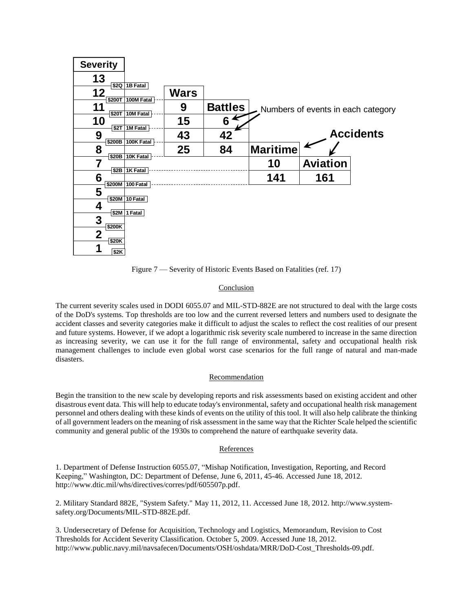

Figure 7 — Severity of Historic Events Based on Fatalities (ref. 17)

# Conclusion

The current severity scales used in DODI 6055.07 and MIL-STD-882E are not structured to deal with the large costs of the DoD's systems. Top thresholds are too low and the current reversed letters and numbers used to designate the accident classes and severity categories make it difficult to adjust the scales to reflect the cost realities of our present and future systems. However, if we adopt a logarithmic risk severity scale numbered to increase in the same direction as increasing severity, we can use it for the full range of environmental, safety and occupational health risk management challenges to include even global worst case scenarios for the full range of natural and man-made disasters.

# Recommendation

Begin the transition to the new scale by developing reports and risk assessments based on existing accident and other disastrous event data. This will help to educate today's environmental, safety and occupational health risk management personnel and others dealing with these kinds of events on the utility of this tool. It will also help calibrate the thinking of all government leaders on the meaning of risk assessment in the same way that the Richter Scale helped the scientific community and general public of the 1930s to comprehend the nature of earthquake severity data.

## References

1. Department of Defense Instruction 6055.07, "Mishap Notification, Investigation, Reporting, and Record Keeping," Washington, DC: Department of Defense, June 6, 2011, 45-46. Accessed June 18, 2012. http://www.dtic.mil/whs/directives/corres/pdf/605507p.pdf.

2. Military Standard 882E, "System Safety." May 11, 2012, 11. Accessed June 18, 2012. http://www.systemsafety.org/Documents/MIL-STD-882E.pdf.

3. Undersecretary of Defense for Acquisition, Technology and Logistics, Memorandum, Revision to Cost Thresholds for Accident Severity Classification. October 5, 2009. Accessed June 18, 2012. http://www.public.navy.mil/navsafecen/Documents/OSH/oshdata/MRR/DoD-Cost\_Thresholds-09.pdf.